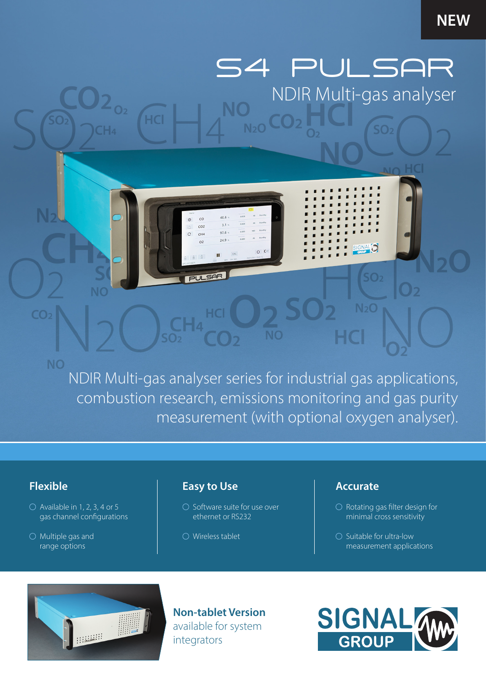## **NEW**

S4 PULSAR NDIR Multi-gas analyser

 $SO<sub>2</sub>$ 

NDIR Multi-gas analyser series for industrial gas applications, combustion research, emissions monitoring and gas purity measurement (with optional oxygen analyser).

**NC** 

 $N<sub>2</sub>O$ 

 $40.6$ 

 $3.1 \cdot$ 

 $97.6$ 

 $249$ 

 $\overline{c}$ 

 $CO<sub>2</sub>$ 

 $\alpha$ 

**PULSAR** 

 $\overline{C}$  $CH<sub>4</sub>$ 

## **Flexible**

 $CO<sub>2</sub>$ 

**NO** 

- $\bigcirc$  Available in 1, 2, 3, 4 or 5 gas channel configurations
- $\bigcirc$  Multiple gas and range options

## **Easy to Use**

**HCI** 

- $\bigcirc$  Software suite for use over ethernet or RS232
- Wireless tablet

### **Accurate**

- $\bigcirc$  Rotating gas filter design for minimal cross sensitivity
- $\bigcirc$  Suitable for ultra-low measurement applications



**Non-tablet Version**  available for system integrators